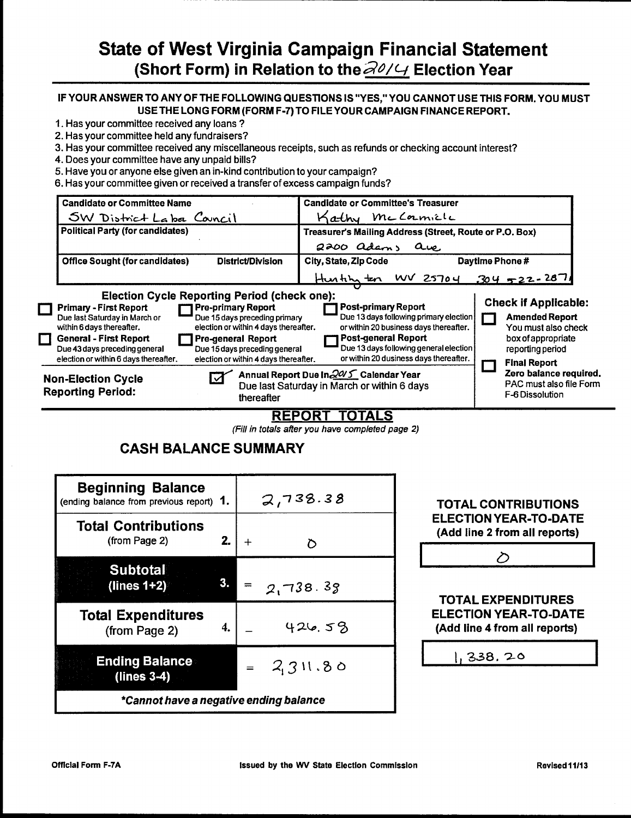# State of West Virginia Campaign Financial Statement (Short Form) in Relation to the  $\partial U/f$  Election Year

#### IF YOUR ANSWER TO ANY OF THE FOLLOWING QUESTIONS IS "YES," YOU CANNOT USE THIS FORM. YOU MUST USE THE LONG FORM (FORM F-7) TO FILE YOUR CAMPAIGN FINANCE REPORT.

- 1. Has your committee received any loans ?
- 2. Has your committee held any fundraisers?
- 3. Has your committee received any miscellaneous receipts, such as refunds or checking account interest?
- 4. Does your committee have any unpaid bills?
- 5. Have you or anyone else given an in-kind contribution to your campaign?
- 6. Has your committee given or received a transfer of excess campaign funds?

| <b>Candidate or Committee Name</b>                                                                                                                                                                                                                                                              |                                                                                                                                                                                                            | <b>Candidate or Committee's Treasurer</b>                                                           |                                                                                                                                                                      |                 |                                                                                                                                                                        |
|-------------------------------------------------------------------------------------------------------------------------------------------------------------------------------------------------------------------------------------------------------------------------------------------------|------------------------------------------------------------------------------------------------------------------------------------------------------------------------------------------------------------|-----------------------------------------------------------------------------------------------------|----------------------------------------------------------------------------------------------------------------------------------------------------------------------|-----------------|------------------------------------------------------------------------------------------------------------------------------------------------------------------------|
| SW District Laba Council                                                                                                                                                                                                                                                                        |                                                                                                                                                                                                            | Kathy McCormicle                                                                                    |                                                                                                                                                                      |                 |                                                                                                                                                                        |
| <b>Political Party (for candidates)</b>                                                                                                                                                                                                                                                         |                                                                                                                                                                                                            | Treasurer's Mailing Address (Street, Route or P.O. Box)                                             |                                                                                                                                                                      |                 |                                                                                                                                                                        |
|                                                                                                                                                                                                                                                                                                 |                                                                                                                                                                                                            | 2200 adams are                                                                                      |                                                                                                                                                                      |                 |                                                                                                                                                                        |
| <b>Office Sought (for candidates)</b>                                                                                                                                                                                                                                                           | <b>District/Division</b>                                                                                                                                                                                   | City, State, Zip Code                                                                               |                                                                                                                                                                      | Daytime Phone # |                                                                                                                                                                        |
|                                                                                                                                                                                                                                                                                                 |                                                                                                                                                                                                            |                                                                                                     | Hustin ten WV 25704 304 522-2071                                                                                                                                     |                 |                                                                                                                                                                        |
| <b>Election Cycle Reporting Period (check one):</b><br><b>Primary - First Report</b><br>Due last Saturday in March or<br>within 6 days thereafter.<br><b>General - First Report</b><br>П<br>Due 43 days preceding general<br>election or within 6 days thereafter.<br><b>Non-Election Cycle</b> | <b>Pre-primary Report</b><br>Due 15 days preceding primary<br>election or within 4 days thereafter.<br><b>Pre-general Report</b><br>Due 15 days preceding general<br>election or within 4 days thereafter. | <b>Post-primary Report</b><br><b>Post-general Report</b><br>Annual Report Due In 2015 Calendar Year | Due 13 days following primary election<br>or within 20 business days thereafter.<br>Due 13 days following general election<br>or within 20 dusiness days thereafter. |                 | <b>Check if Applicable:</b><br><b>Amended Report</b><br>You must also check<br>box of appropriate<br>reporting period<br><b>Final Report</b><br>Zero balance required. |
| <b>Reporting Period:</b>                                                                                                                                                                                                                                                                        | thereafter                                                                                                                                                                                                 | Due last Saturday in March or within 6 days                                                         |                                                                                                                                                                      |                 | PAC must also file Form<br>F-6 Dissolution                                                                                                                             |

### REPORT TOTALS

(Fill in totals after you have completed page 2)

# **CASH BALANCE SUMMARY**



| <b>TOTAL CONTRIBUTIONS</b>    |
|-------------------------------|
| <b>ELECTION YEAR-TO-DATE</b>  |
| (Add line 2 from all reports) |
|                               |

|  | $\omega$ |  |  |
|--|----------|--|--|
|  |          |  |  |
|  |          |  |  |
|  |          |  |  |
|  |          |  |  |

TOTAL EXPENDITURES ELECTION YEAR-TO-DATE (Add line 4 from all reports)

| 1,338.20 |  |
|----------|--|
|----------|--|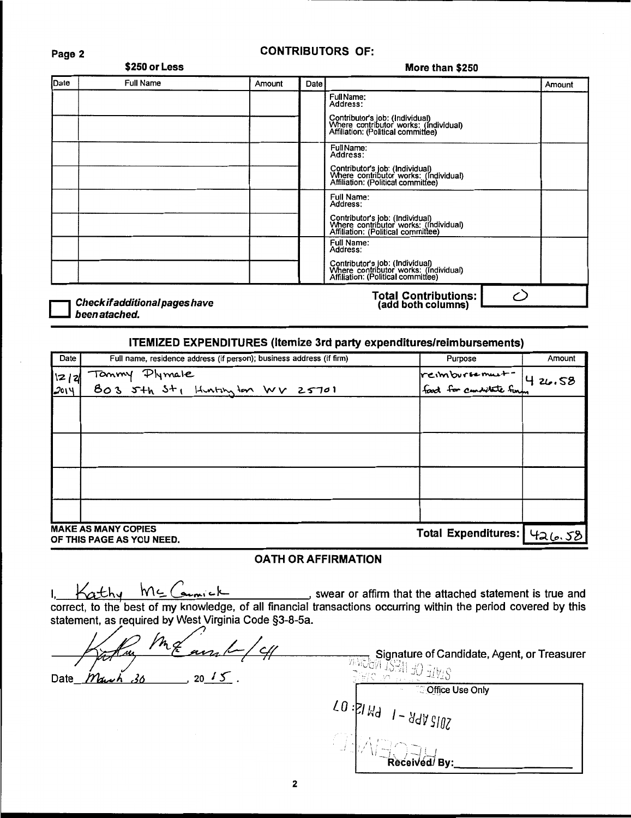#### Page 2

# \$250 or Less

#### **CONTRIBUTORS OF:**

## More than \$250 Date **Full Name** Amount Date Amount FullName:<br>Address: Contributor's job: (Individual)<br>Where contributor works: (Individual)<br>Affiliation: (Political committee) Full Name:<br>Address: Contributor's job: (Individual)<br>Where contributor works: (Individual)<br>Affiliation: (Political committee) Full Name:<br>Address: Contributor's job: (Individual)<br>Where contributor works: (Individual)<br>Affiliation: (Political committee) Full Name:<br>Address: Contributor's job: (Individual)<br>Where contributor works: (Individual)<br>Affiliation: (Political committee) Total Contributions:<br>(add both columns) ○

Check if additional pages have been atached.

#### **ITEMIZED EXPENDITURES (Itemize 3rd party expenditures/reimbursements)**

| Date   | Full name, residence address (if person); business address (if firm) | Purpose                                            | Amount |
|--------|----------------------------------------------------------------------|----------------------------------------------------|--------|
| 12   2 | Tommy Plymale<br>Bo3 5th St, Huntington WV 25701                     | reimbursement - 4 26.58<br>Food for conditate funn |        |
| 2014   |                                                                      |                                                    |        |
|        |                                                                      |                                                    |        |
|        |                                                                      |                                                    |        |
|        |                                                                      |                                                    |        |
|        |                                                                      |                                                    |        |
|        |                                                                      |                                                    |        |
|        |                                                                      |                                                    |        |
|        | <b>MAKE AS MANY COPIES</b><br>OF THIS PAGE AS YOU NEED.              | Total Expenditures: 426.58                         |        |

#### **OATH OR AFFIRMATION**

 $\sim$ thy MC Comick , swear or affirm that the attached statement is true and correct, to the best of my knowledge, of all financial transactions occurring within the period covered by this statement, as required by West Virginia Code §3-8-5a.

 $n_{\mathcal{Z}}$  $4/4$ w  $20 / 5$ . March 36 Date

Signature of Candidate, Agent, or Treasurer 2TATE OF WEST WEGAN

**Office Use Only** 10 : 21 Hd 1 - 44 N 3102  $\sqrt{-1}$  Received By: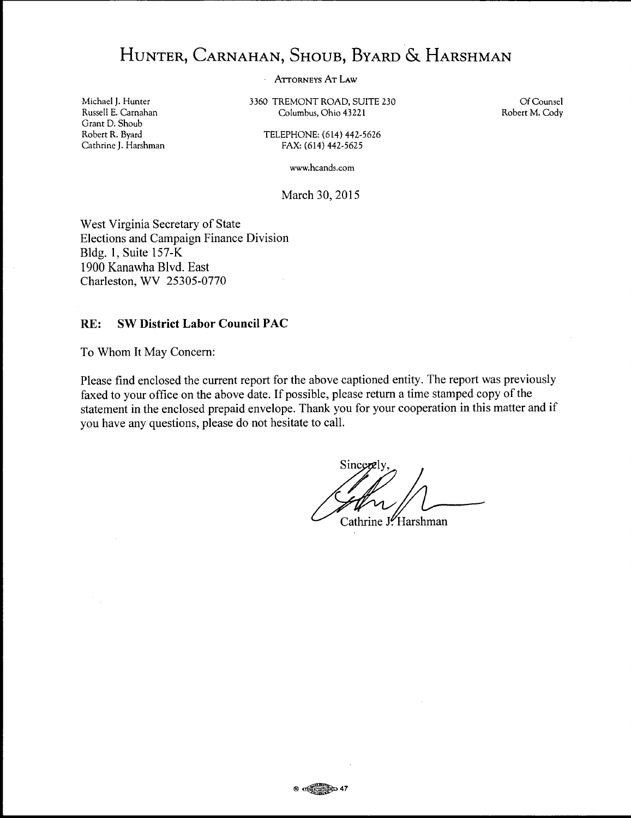# HUNTER, CARNAHAN, SHOUB, BYARD & HARSHMAN

ATTORNEYS AT LAW

3360 TREMONT ROAD, SUITE 230 Columbus, Ohio 43221

Of Counsel Robert M. Cody

TELEPHONE: (614) 442-5626 FAX: (614) 442-5625

www.hcands.com

March 30, 2015

West Virginia Secretary of State Elections and Campaign Finance Division Bldg. **1,** Suite 157-K 1900 Kanawha Blvd. East Charleston, WV 25305-0770

### **RE: SW District Labor Council PAC**

To Whom It May Concern:

Please find enclosed the current report for the above captioned entity. The report was previously faxed to your office on the above date. If possible, please return a time stamped copy of the statement in the enclosed prepaid envelope. Thank you for your cooperation in this matter and if you have any questions, please do not hesitate to call.

Sincere

Cathrine J. Harshman

Michael J. Hunter Russell E. Carnahan Grant D. Shoub Robert R. Byard Cathrine J. Harshman